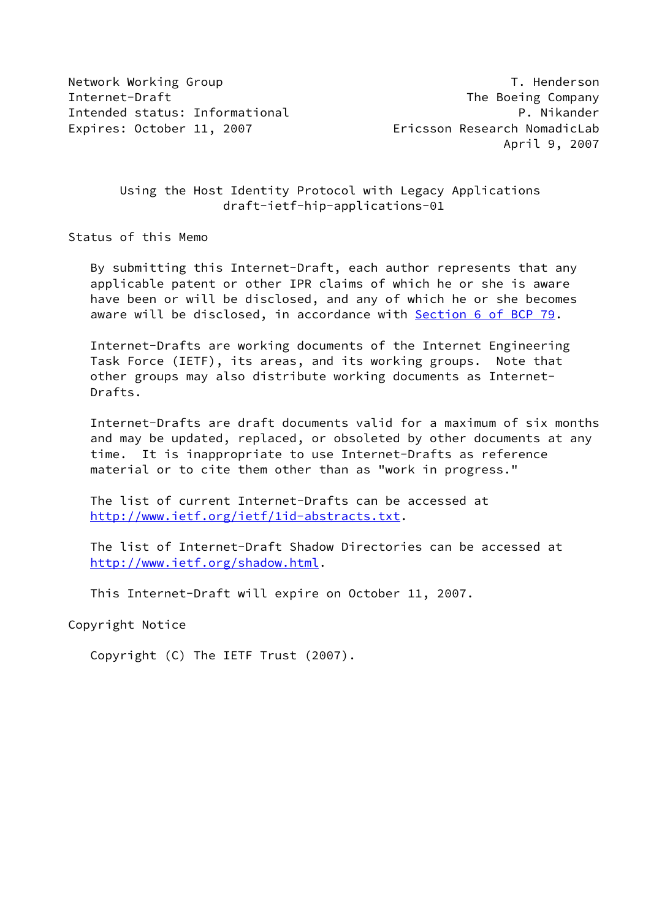Network Working Group **T. Henderson** Internet-Draft The Boeing Company Intended status: Informational P. Nikander Expires: October 11, 2007 Ericsson Research NomadicLab

# Using the Host Identity Protocol with Legacy Applications draft-ietf-hip-applications-01

Status of this Memo

 By submitting this Internet-Draft, each author represents that any applicable patent or other IPR claims of which he or she is aware have been or will be disclosed, and any of which he or she becomes aware will be disclosed, in accordance with Section [6 of BCP 79.](https://datatracker.ietf.org/doc/pdf/bcp79#section-6)

 Internet-Drafts are working documents of the Internet Engineering Task Force (IETF), its areas, and its working groups. Note that other groups may also distribute working documents as Internet- Drafts.

 Internet-Drafts are draft documents valid for a maximum of six months and may be updated, replaced, or obsoleted by other documents at any time. It is inappropriate to use Internet-Drafts as reference material or to cite them other than as "work in progress."

 The list of current Internet-Drafts can be accessed at <http://www.ietf.org/ietf/1id-abstracts.txt>.

 The list of Internet-Draft Shadow Directories can be accessed at <http://www.ietf.org/shadow.html>.

This Internet-Draft will expire on October 11, 2007.

Copyright Notice

Copyright (C) The IETF Trust (2007).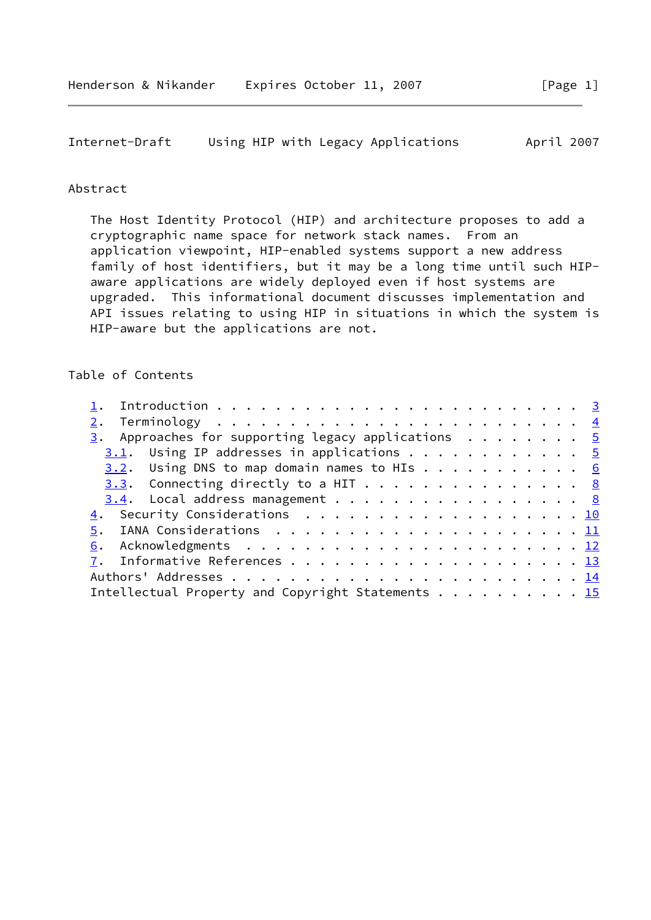```
Internet-Draft Using HIP with Legacy Applications April 2007
```
# Abstract

 The Host Identity Protocol (HIP) and architecture proposes to add a cryptographic name space for network stack names. From an application viewpoint, HIP-enabled systems support a new address family of host identifiers, but it may be a long time until such HIP aware applications are widely deployed even if host systems are upgraded. This informational document discusses implementation and API issues relating to using HIP in situations in which the system is HIP-aware but the applications are not.

# Table of Contents

| $\frac{3}{2}$ . Approaches for supporting legacy applications 5 |  |  |
|-----------------------------------------------------------------|--|--|
| $3.1$ . Using IP addresses in applications 5                    |  |  |
| $3.2$ . Using DNS to map domain names to HIs 6                  |  |  |
| 3.3. Connecting directly to a HIT 8                             |  |  |
| $3.4$ . Local address management 8                              |  |  |
| 4. Security Considerations 10                                   |  |  |
|                                                                 |  |  |
|                                                                 |  |  |
|                                                                 |  |  |
|                                                                 |  |  |
| Intellectual Property and Copyright Statements 15               |  |  |
|                                                                 |  |  |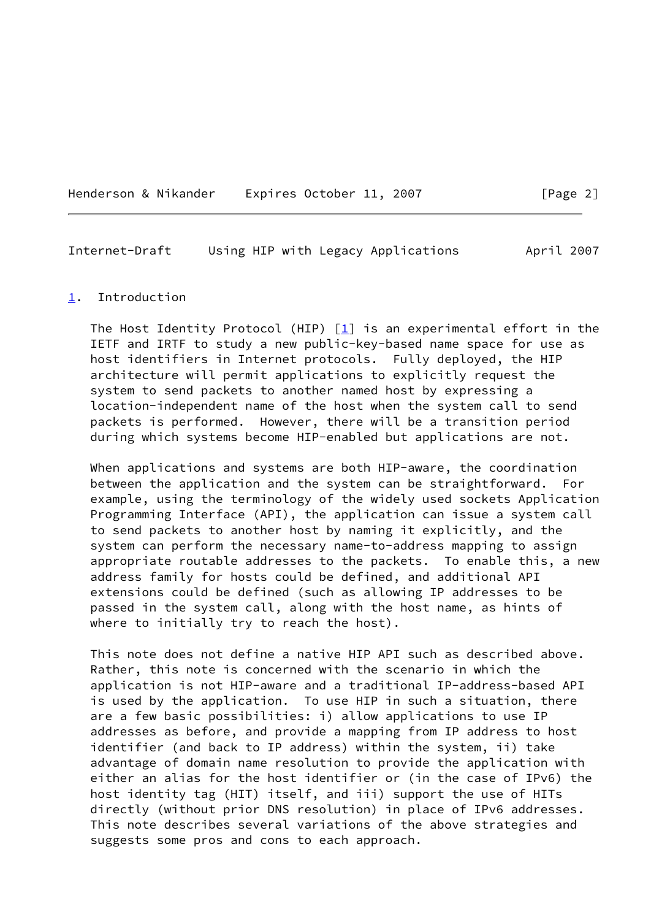<span id="page-2-1"></span>

| Henderson & Nikander |  | Expires October 11, 2007 |  |
|----------------------|--|--------------------------|--|
|                      |  |                          |  |

#### <span id="page-2-0"></span>[1](#page-2-0). Introduction

The Host Identity Protocol (HIP)  $[1]$  is an experimental effort in the IETF and IRTF to study a new public-key-based name space for use as host identifiers in Internet protocols. Fully deployed, the HIP architecture will permit applications to explicitly request the system to send packets to another named host by expressing a location-independent name of the host when the system call to send packets is performed. However, there will be a transition period during which systems become HIP-enabled but applications are not.

 When applications and systems are both HIP-aware, the coordination between the application and the system can be straightforward. For example, using the terminology of the widely used sockets Application Programming Interface (API), the application can issue a system call to send packets to another host by naming it explicitly, and the system can perform the necessary name-to-address mapping to assign appropriate routable addresses to the packets. To enable this, a new address family for hosts could be defined, and additional API extensions could be defined (such as allowing IP addresses to be passed in the system call, along with the host name, as hints of where to initially try to reach the host).

 This note does not define a native HIP API such as described above. Rather, this note is concerned with the scenario in which the application is not HIP-aware and a traditional IP-address-based API is used by the application. To use HIP in such a situation, there are a few basic possibilities: i) allow applications to use IP addresses as before, and provide a mapping from IP address to host identifier (and back to IP address) within the system, ii) take advantage of domain name resolution to provide the application with either an alias for the host identifier or (in the case of IPv6) the host identity tag (HIT) itself, and iii) support the use of HITs directly (without prior DNS resolution) in place of IPv6 addresses. This note describes several variations of the above strategies and suggests some pros and cons to each approach.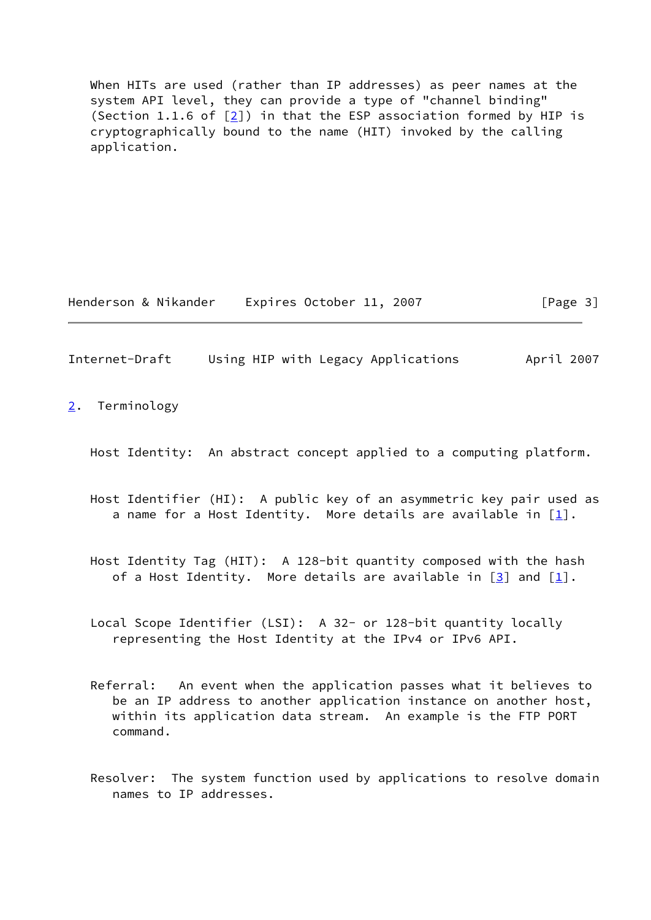When HITs are used (rather than IP addresses) as peer names at the system API level, they can provide a type of "channel binding" (Section 1.1.6 of  $[2]$  $[2]$ ) in that the ESP association formed by HIP is cryptographically bound to the name (HIT) invoked by the calling application.

Henderson & Nikander Expires October 11, 2007 [Page 3]

<span id="page-3-1"></span>Internet-Draft Using HIP with Legacy Applications April 2007

<span id="page-3-0"></span>[2](#page-3-0). Terminology

Host Identity: An abstract concept applied to a computing platform.

- Host Identifier (HI): A public key of an asymmetric key pair used as a name for a Host Identity. More details are available in  $[1]$  $[1]$ .
- Host Identity Tag (HIT): A 128-bit quantity composed with the hash of a Host Identity. More details are available in  $\lceil 3 \rceil$  and  $\lceil 1 \rceil$ .
- Local Scope Identifier (LSI): A 32- or 128-bit quantity locally representing the Host Identity at the IPv4 or IPv6 API.
- Referral: An event when the application passes what it believes to be an IP address to another application instance on another host, within its application data stream. An example is the FTP PORT command.
- Resolver: The system function used by applications to resolve domain names to IP addresses.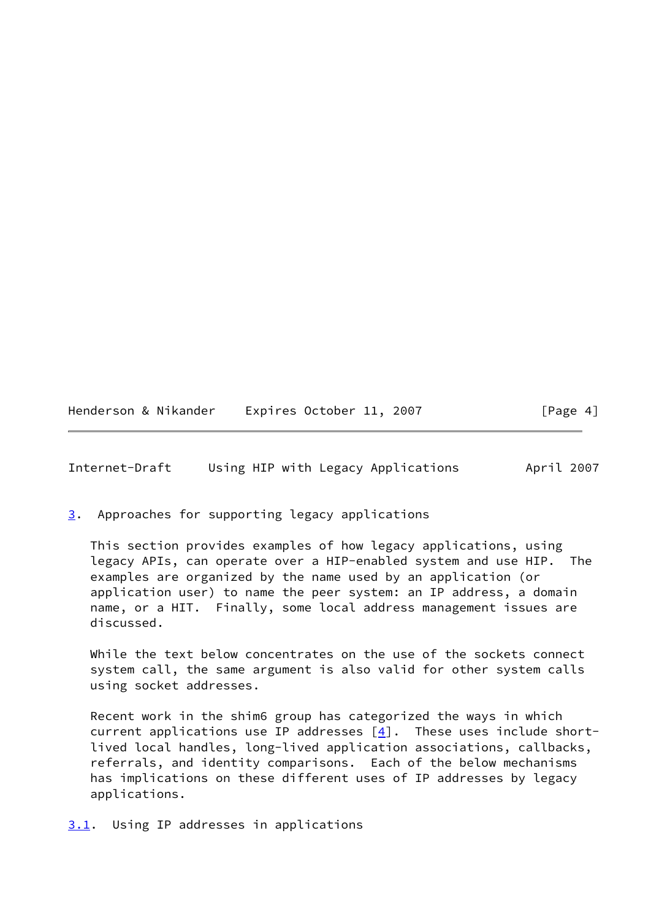<span id="page-4-1"></span>

| Henderson & Nikander | Expires October 11, 2007 |  | [Page 4] |
|----------------------|--------------------------|--|----------|
|----------------------|--------------------------|--|----------|

<span id="page-4-0"></span>[3](#page-4-0). Approaches for supporting legacy applications

 This section provides examples of how legacy applications, using legacy APIs, can operate over a HIP-enabled system and use HIP. The examples are organized by the name used by an application (or application user) to name the peer system: an IP address, a domain name, or a HIT. Finally, some local address management issues are discussed.

 While the text below concentrates on the use of the sockets connect system call, the same argument is also valid for other system calls using socket addresses.

 Recent work in the shim6 group has categorized the ways in which current applications use IP addresses  $[4]$  $[4]$ . These uses include short lived local handles, long-lived application associations, callbacks, referrals, and identity comparisons. Each of the below mechanisms has implications on these different uses of IP addresses by legacy applications.

<span id="page-4-2"></span>[3.1](#page-4-2). Using IP addresses in applications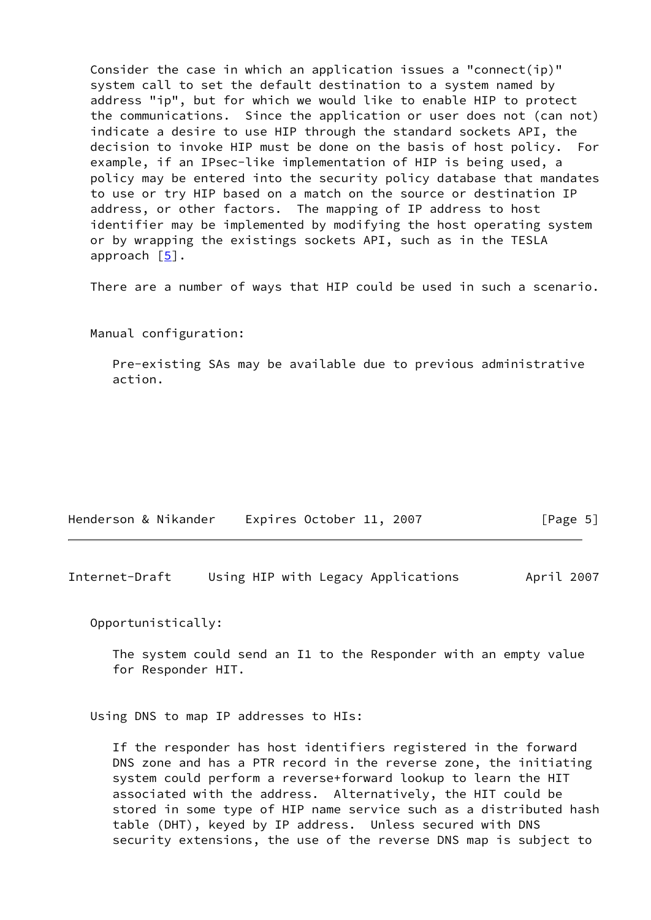Consider the case in which an application issues a "connect(ip)" system call to set the default destination to a system named by address "ip", but for which we would like to enable HIP to protect the communications. Since the application or user does not (can not) indicate a desire to use HIP through the standard sockets API, the decision to invoke HIP must be done on the basis of host policy. For example, if an IPsec-like implementation of HIP is being used, a policy may be entered into the security policy database that mandates to use or try HIP based on a match on the source or destination IP address, or other factors. The mapping of IP address to host identifier may be implemented by modifying the host operating system or by wrapping the existings sockets API, such as in the TESLA approach [\[5\]](#page-13-6).

There are a number of ways that HIP could be used in such a scenario.

Manual configuration:

 Pre-existing SAs may be available due to previous administrative action.

| Henderson & Nikander | Expires October 11, 2007 |  | [Page 5] |
|----------------------|--------------------------|--|----------|
|----------------------|--------------------------|--|----------|

<span id="page-5-0"></span>Internet-Draft Using HIP with Legacy Applications April 2007

Opportunistically:

 The system could send an I1 to the Responder with an empty value for Responder HIT.

Using DNS to map IP addresses to HIs:

 If the responder has host identifiers registered in the forward DNS zone and has a PTR record in the reverse zone, the initiating system could perform a reverse+forward lookup to learn the HIT associated with the address. Alternatively, the HIT could be stored in some type of HIP name service such as a distributed hash table (DHT), keyed by IP address. Unless secured with DNS security extensions, the use of the reverse DNS map is subject to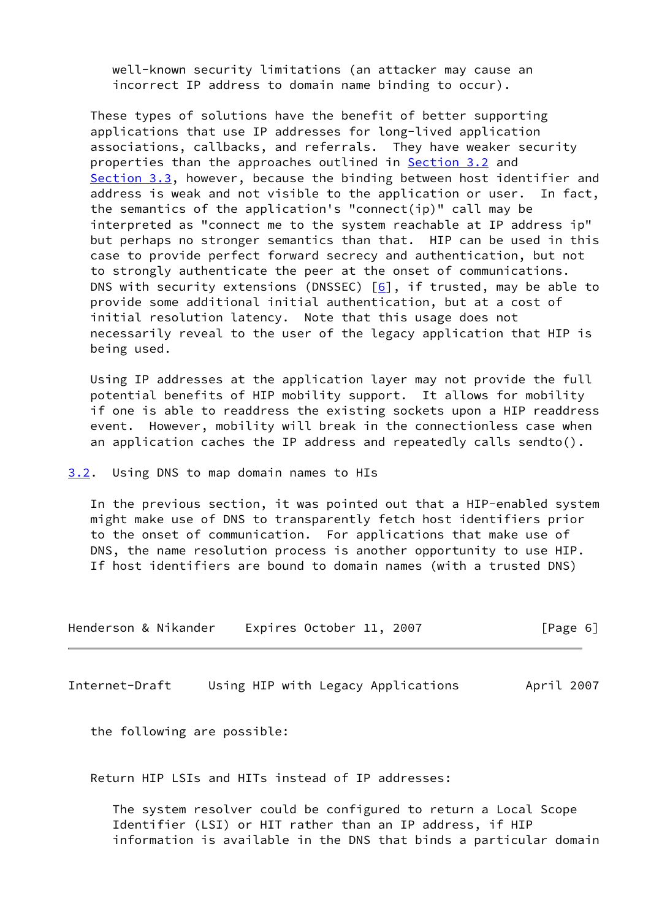well-known security limitations (an attacker may cause an incorrect IP address to domain name binding to occur).

 These types of solutions have the benefit of better supporting applications that use IP addresses for long-lived application associations, callbacks, and referrals. They have weaker security properties than the approaches outlined in [Section 3.2](#page-6-0) and [Section 3.3](#page-8-0), however, because the binding between host identifier and address is weak and not visible to the application or user. In fact, the semantics of the application's "connect(ip)" call may be interpreted as "connect me to the system reachable at IP address ip" but perhaps no stronger semantics than that. HIP can be used in this case to provide perfect forward secrecy and authentication, but not to strongly authenticate the peer at the onset of communications. DNS with security extensions (DNSSEC)  $[6]$  $[6]$ , if trusted, may be able to provide some additional initial authentication, but at a cost of initial resolution latency. Note that this usage does not necessarily reveal to the user of the legacy application that HIP is being used.

 Using IP addresses at the application layer may not provide the full potential benefits of HIP mobility support. It allows for mobility if one is able to readdress the existing sockets upon a HIP readdress event. However, mobility will break in the connectionless case when an application caches the IP address and repeatedly calls sendto().

<span id="page-6-0"></span>[3.2](#page-6-0). Using DNS to map domain names to HIs

 In the previous section, it was pointed out that a HIP-enabled system might make use of DNS to transparently fetch host identifiers prior to the onset of communication. For applications that make use of DNS, the name resolution process is another opportunity to use HIP. If host identifiers are bound to domain names (with a trusted DNS)

| Henderson & Nikander | Expires October 11, 2007 |  | [Page 6] |
|----------------------|--------------------------|--|----------|
|----------------------|--------------------------|--|----------|

Internet-Draft Using HIP with Legacy Applications April 2007

the following are possible:

Return HIP LSIs and HITs instead of IP addresses:

 The system resolver could be configured to return a Local Scope Identifier (LSI) or HIT rather than an IP address, if HIP information is available in the DNS that binds a particular domain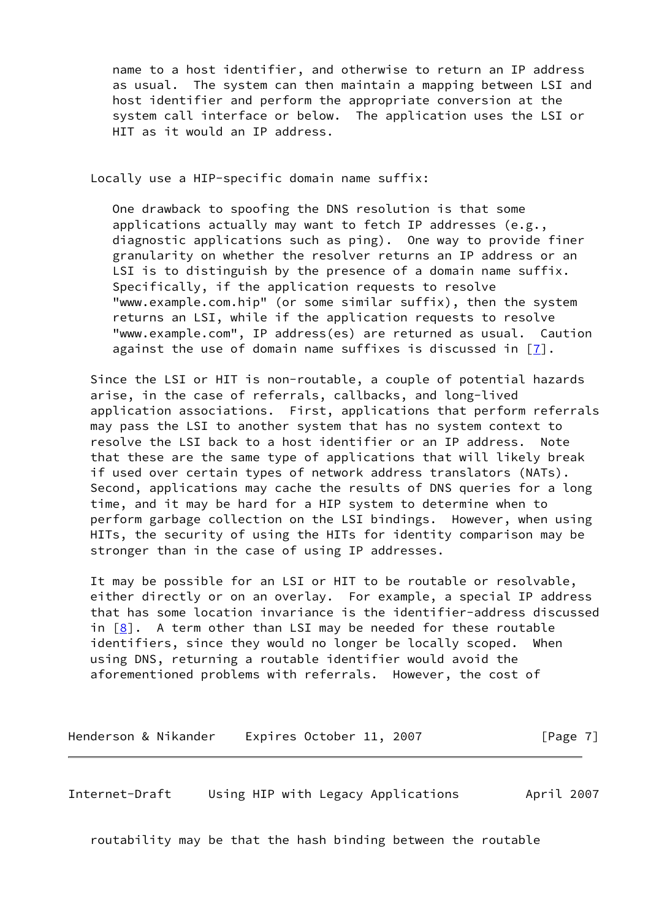name to a host identifier, and otherwise to return an IP address as usual. The system can then maintain a mapping between LSI and host identifier and perform the appropriate conversion at the system call interface or below. The application uses the LSI or HIT as it would an IP address.

Locally use a HIP-specific domain name suffix:

 One drawback to spoofing the DNS resolution is that some applications actually may want to fetch IP addresses (e.g., diagnostic applications such as ping). One way to provide finer granularity on whether the resolver returns an IP address or an LSI is to distinguish by the presence of a domain name suffix. Specifically, if the application requests to resolve "www.example.com.hip" (or some similar suffix), then the system returns an LSI, while if the application requests to resolve "www.example.com", IP address(es) are returned as usual. Caution against the use of domain name suffixes is discussed in [[7\]](#page-14-2).

 Since the LSI or HIT is non-routable, a couple of potential hazards arise, in the case of referrals, callbacks, and long-lived application associations. First, applications that perform referrals may pass the LSI to another system that has no system context to resolve the LSI back to a host identifier or an IP address. Note that these are the same type of applications that will likely break if used over certain types of network address translators (NATs). Second, applications may cache the results of DNS queries for a long time, and it may be hard for a HIP system to determine when to perform garbage collection on the LSI bindings. However, when using HITs, the security of using the HITs for identity comparison may be stronger than in the case of using IP addresses.

 It may be possible for an LSI or HIT to be routable or resolvable, either directly or on an overlay. For example, a special IP address that has some location invariance is the identifier-address discussed in [[8\]](#page-14-3). A term other than LSI may be needed for these routable identifiers, since they would no longer be locally scoped. When using DNS, returning a routable identifier would avoid the aforementioned problems with referrals. However, the cost of

Henderson & Nikander Expires October 11, 2007 [Page 7]

<span id="page-7-0"></span>Internet-Draft Using HIP with Legacy Applications April 2007

routability may be that the hash binding between the routable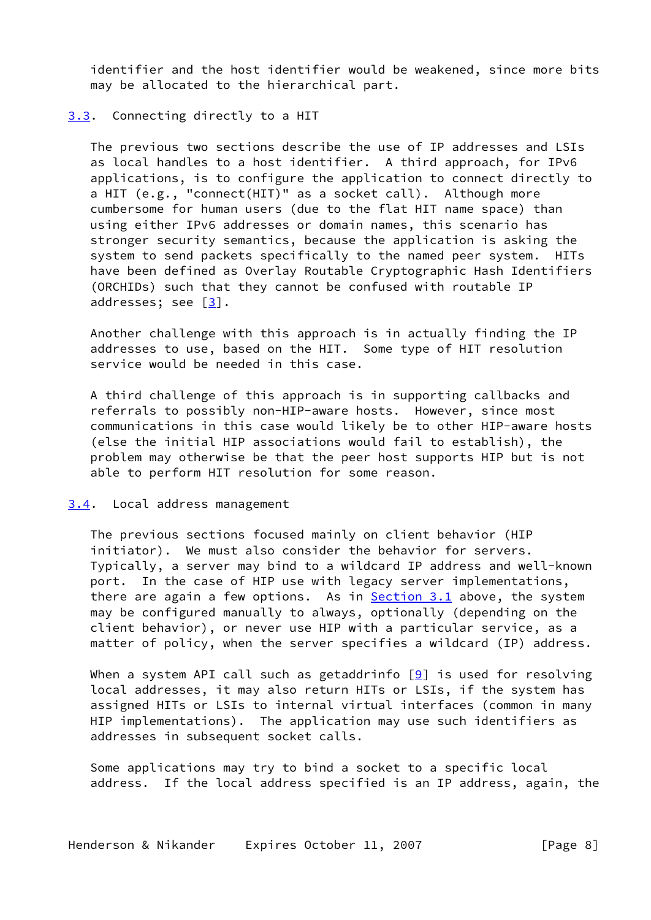identifier and the host identifier would be weakened, since more bits may be allocated to the hierarchical part.

## <span id="page-8-0"></span>[3.3](#page-8-0). Connecting directly to a HIT

 The previous two sections describe the use of IP addresses and LSIs as local handles to a host identifier. A third approach, for IPv6 applications, is to configure the application to connect directly to a HIT (e.g., "connect(HIT)" as a socket call). Although more cumbersome for human users (due to the flat HIT name space) than using either IPv6 addresses or domain names, this scenario has stronger security semantics, because the application is asking the system to send packets specifically to the named peer system. HITs have been defined as Overlay Routable Cryptographic Hash Identifiers (ORCHIDs) such that they cannot be confused with routable IP addresses; see [\[3](#page-13-4)].

 Another challenge with this approach is in actually finding the IP addresses to use, based on the HIT. Some type of HIT resolution service would be needed in this case.

 A third challenge of this approach is in supporting callbacks and referrals to possibly non-HIP-aware hosts. However, since most communications in this case would likely be to other HIP-aware hosts (else the initial HIP associations would fail to establish), the problem may otherwise be that the peer host supports HIP but is not able to perform HIT resolution for some reason.

#### <span id="page-8-1"></span>[3.4](#page-8-1). Local address management

 The previous sections focused mainly on client behavior (HIP initiator). We must also consider the behavior for servers. Typically, a server may bind to a wildcard IP address and well-known port. In the case of HIP use with legacy server implementations, there are again a few options. As in [Section 3.1](#page-4-2) above, the system may be configured manually to always, optionally (depending on the client behavior), or never use HIP with a particular service, as a matter of policy, when the server specifies a wildcard (IP) address.

When a system API call such as getaddrinfo  $[9]$  $[9]$  is used for resolving local addresses, it may also return HITs or LSIs, if the system has assigned HITs or LSIs to internal virtual interfaces (common in many HIP implementations). The application may use such identifiers as addresses in subsequent socket calls.

 Some applications may try to bind a socket to a specific local address. If the local address specified is an IP address, again, the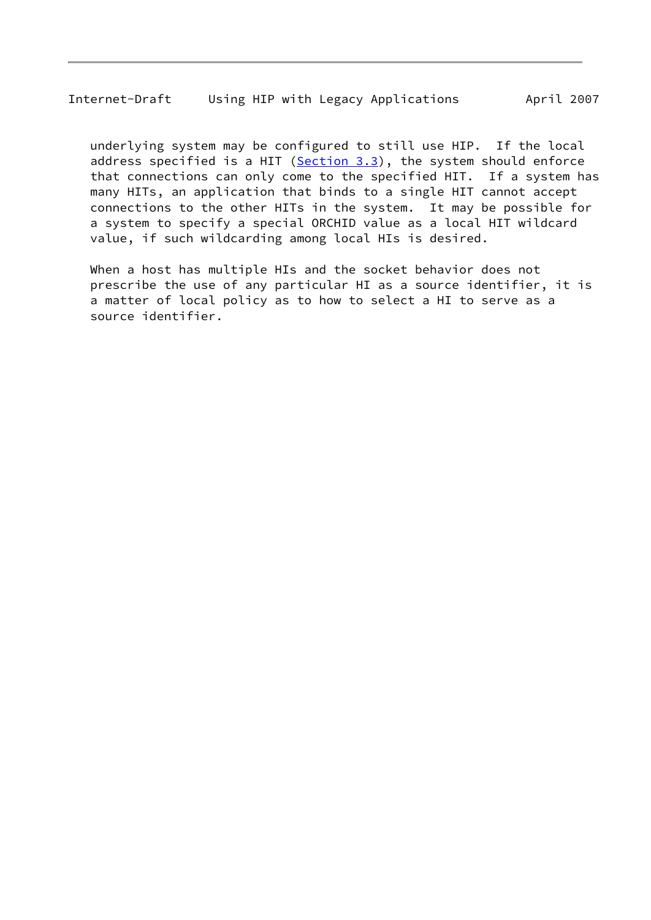underlying system may be configured to still use HIP. If the local address specified is a HIT ([Section 3.3\)](#page-8-0), the system should enforce that connections can only come to the specified HIT. If a system has many HITs, an application that binds to a single HIT cannot accept connections to the other HITs in the system. It may be possible for a system to specify a special ORCHID value as a local HIT wildcard value, if such wildcarding among local HIs is desired.

 When a host has multiple HIs and the socket behavior does not prescribe the use of any particular HI as a source identifier, it is a matter of local policy as to how to select a HI to serve as a source identifier.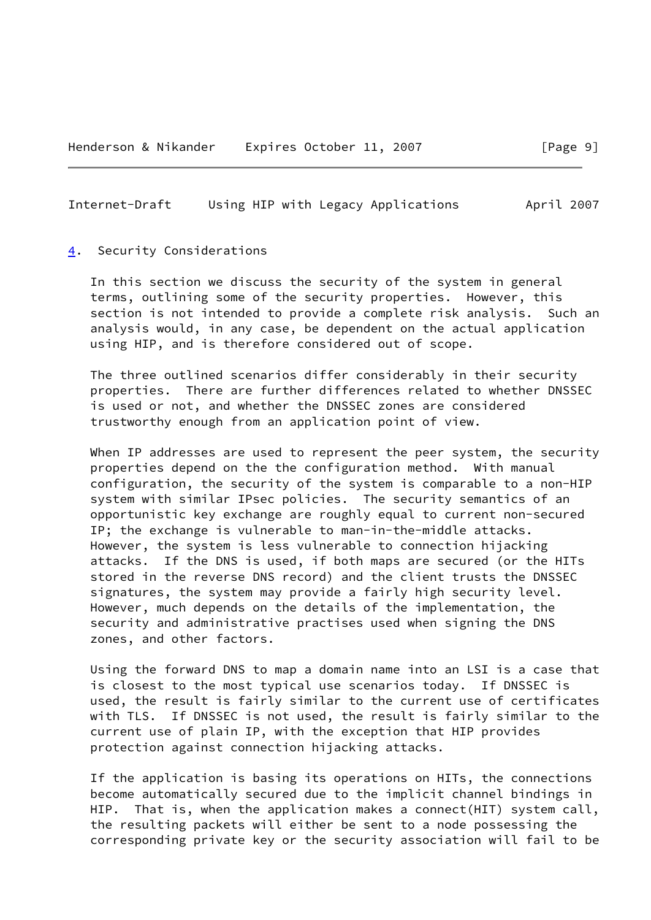#### <span id="page-10-1"></span><span id="page-10-0"></span>[4](#page-10-0). Security Considerations

 In this section we discuss the security of the system in general terms, outlining some of the security properties. However, this section is not intended to provide a complete risk analysis. Such an analysis would, in any case, be dependent on the actual application using HIP, and is therefore considered out of scope.

 The three outlined scenarios differ considerably in their security properties. There are further differences related to whether DNSSEC is used or not, and whether the DNSSEC zones are considered trustworthy enough from an application point of view.

When IP addresses are used to represent the peer system, the security properties depend on the the configuration method. With manual configuration, the security of the system is comparable to a non-HIP system with similar IPsec policies. The security semantics of an opportunistic key exchange are roughly equal to current non-secured IP; the exchange is vulnerable to man-in-the-middle attacks. However, the system is less vulnerable to connection hijacking attacks. If the DNS is used, if both maps are secured (or the HITs stored in the reverse DNS record) and the client trusts the DNSSEC signatures, the system may provide a fairly high security level. However, much depends on the details of the implementation, the security and administrative practises used when signing the DNS zones, and other factors.

 Using the forward DNS to map a domain name into an LSI is a case that is closest to the most typical use scenarios today. If DNSSEC is used, the result is fairly similar to the current use of certificates with TLS. If DNSSEC is not used, the result is fairly similar to the current use of plain IP, with the exception that HIP provides protection against connection hijacking attacks.

 If the application is basing its operations on HITs, the connections become automatically secured due to the implicit channel bindings in HIP. That is, when the application makes a connect(HIT) system call, the resulting packets will either be sent to a node possessing the corresponding private key or the security association will fail to be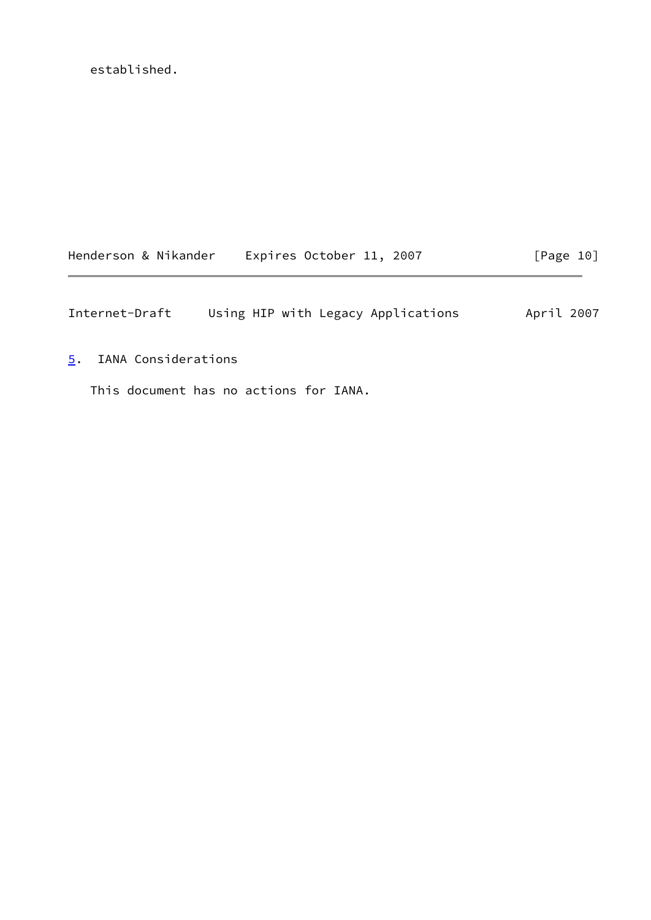established.

| Henderson & Nikander | Expires October 11, 2007 |  | [Page 10] |
|----------------------|--------------------------|--|-----------|
|----------------------|--------------------------|--|-----------|

<span id="page-11-1"></span>Internet-Draft Using HIP with Legacy Applications April 2007

<span id="page-11-0"></span>[5](#page-11-0). IANA Considerations

This document has no actions for IANA.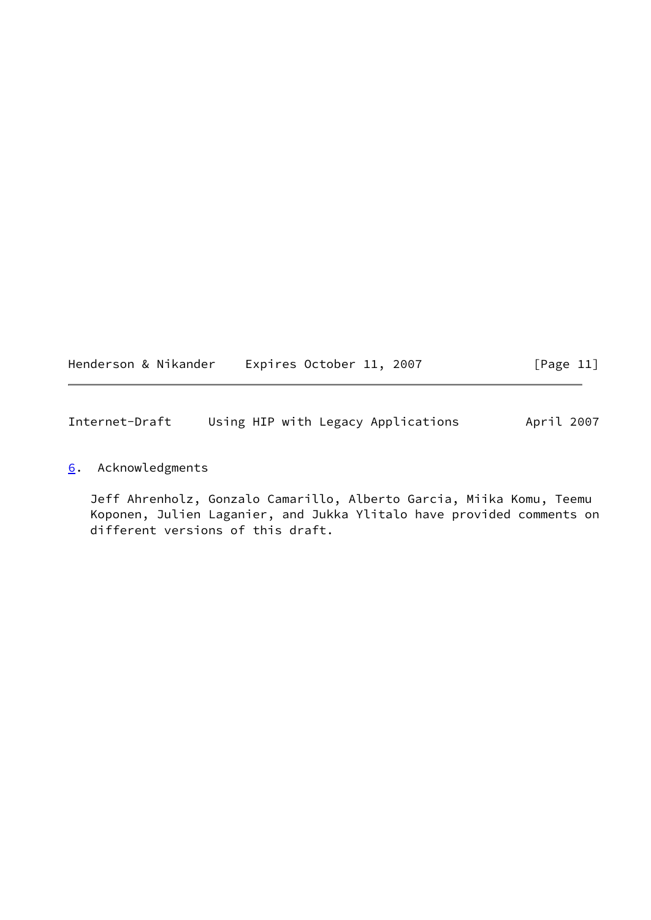<span id="page-12-1"></span>

| Henderson & Nikander | Expires October 11, 2007 |  | [Page 11] |
|----------------------|--------------------------|--|-----------|
|----------------------|--------------------------|--|-----------|

# <span id="page-12-0"></span>[6](#page-12-0). Acknowledgments

 Jeff Ahrenholz, Gonzalo Camarillo, Alberto Garcia, Miika Komu, Teemu Koponen, Julien Laganier, and Jukka Ylitalo have provided comments on different versions of this draft.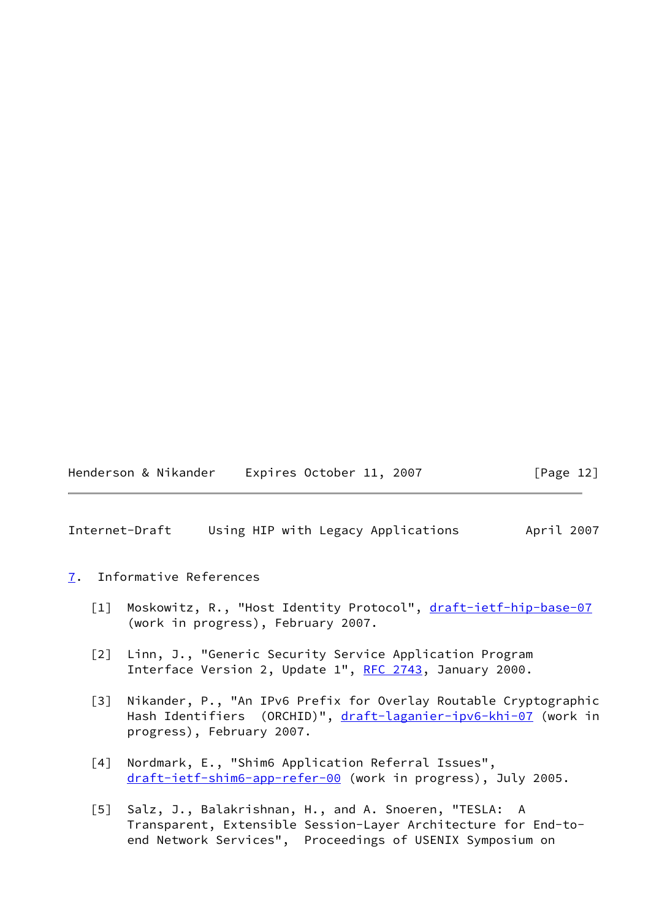Henderson & Nikander Expires October 11, 2007 [Page 12]

<span id="page-13-1"></span>Internet-Draft Using HIP with Legacy Applications April 2007

### <span id="page-13-0"></span>[7](#page-13-0). Informative References

- <span id="page-13-2"></span>[1] Moskowitz, R., "Host Identity Protocol", [draft-ietf-hip-base-07](https://datatracker.ietf.org/doc/pdf/draft-ietf-hip-base-07) (work in progress), February 2007.
- <span id="page-13-3"></span> [2] Linn, J., "Generic Security Service Application Program Interface Version 2, Update 1", [RFC 2743](https://datatracker.ietf.org/doc/pdf/rfc2743), January 2000.
- <span id="page-13-4"></span> [3] Nikander, P., "An IPv6 Prefix for Overlay Routable Cryptographic Hash Identifiers (ORCHID)", [draft-laganier-ipv6-khi-07](https://datatracker.ietf.org/doc/pdf/draft-laganier-ipv6-khi-07) (work in progress), February 2007.
- <span id="page-13-5"></span> [4] Nordmark, E., "Shim6 Application Referral Issues", [draft-ietf-shim6-app-refer-00](https://datatracker.ietf.org/doc/pdf/draft-ietf-shim6-app-refer-00) (work in progress), July 2005.
- <span id="page-13-6"></span> [5] Salz, J., Balakrishnan, H., and A. Snoeren, "TESLA: A Transparent, Extensible Session-Layer Architecture for End-to end Network Services", Proceedings of USENIX Symposium on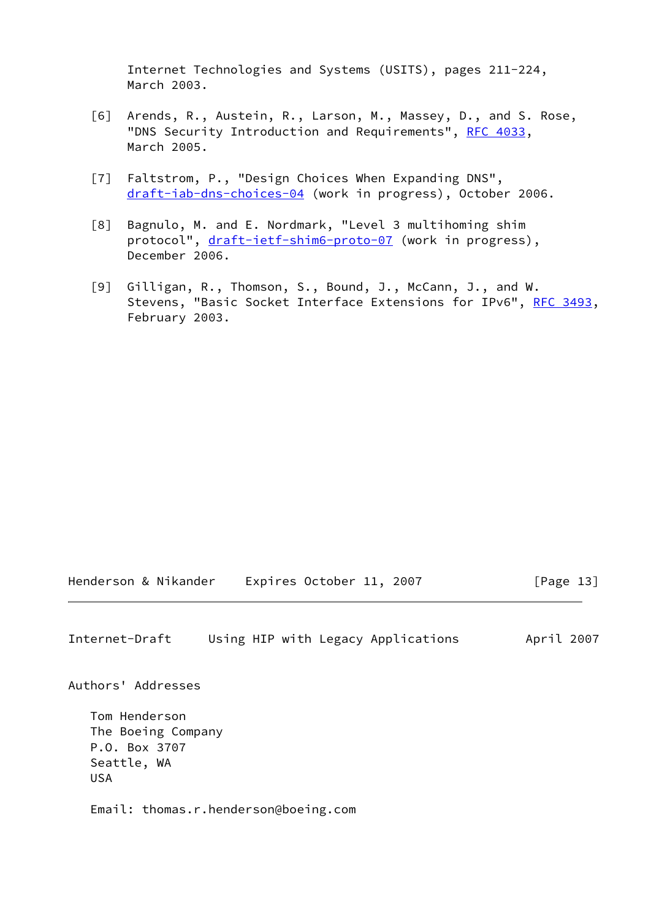Internet Technologies and Systems (USITS), pages 211-224, March 2003.

- <span id="page-14-1"></span> [6] Arends, R., Austein, R., Larson, M., Massey, D., and S. Rose, "DNS Security Introduction and Requirements", [RFC 4033,](https://datatracker.ietf.org/doc/pdf/rfc4033) March 2005.
- <span id="page-14-2"></span> [7] Faltstrom, P., "Design Choices When Expanding DNS", [draft-iab-dns-choices-04](https://datatracker.ietf.org/doc/pdf/draft-iab-dns-choices-04) (work in progress), October 2006.
- <span id="page-14-3"></span> [8] Bagnulo, M. and E. Nordmark, "Level 3 multihoming shim protocol", [draft-ietf-shim6-proto-07](https://datatracker.ietf.org/doc/pdf/draft-ietf-shim6-proto-07) (work in progress), December 2006.
- <span id="page-14-4"></span> [9] Gilligan, R., Thomson, S., Bound, J., McCann, J., and W. Stevens, "Basic Socket Interface Extensions for IPv6", [RFC 3493,](https://datatracker.ietf.org/doc/pdf/rfc3493) February 2003.

Henderson & Nikander Expires October 11, 2007 [Page 13]

<span id="page-14-0"></span>Internet-Draft Using HIP with Legacy Applications April 2007

Authors' Addresses

 Tom Henderson The Boeing Company P.O. Box 3707 Seattle, WA USA

Email: thomas.r.henderson@boeing.com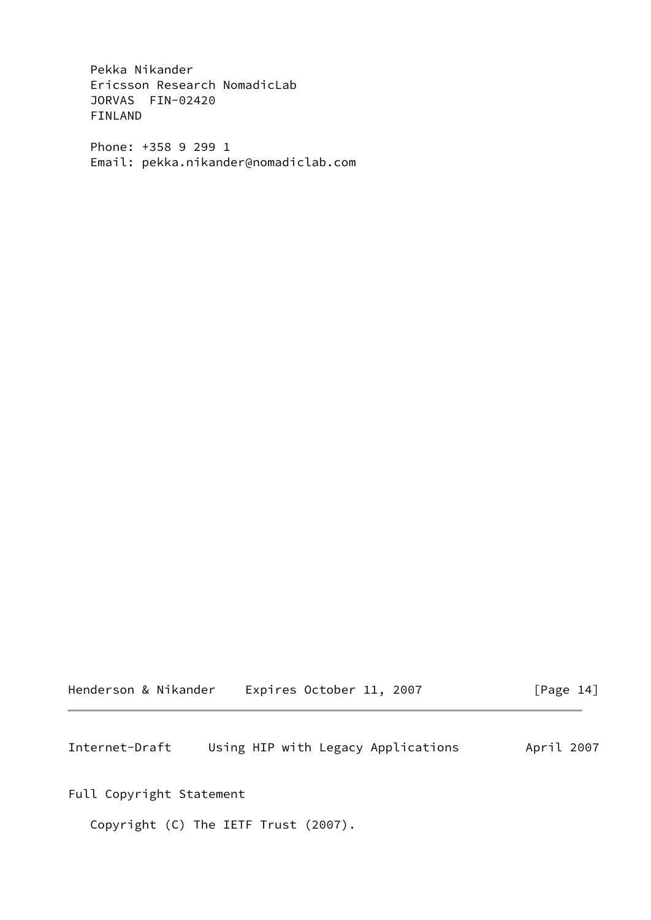Pekka Nikander Ericsson Research NomadicLab JORVAS FIN-02420 FINLAND

 Phone: +358 9 299 1 Email: pekka.nikander@nomadiclab.com

Henderson & Nikander Expires October 11, 2007 [Page 14]

<span id="page-15-0"></span>Internet-Draft Using HIP with Legacy Applications April 2007

Full Copyright Statement

Copyright (C) The IETF Trust (2007).